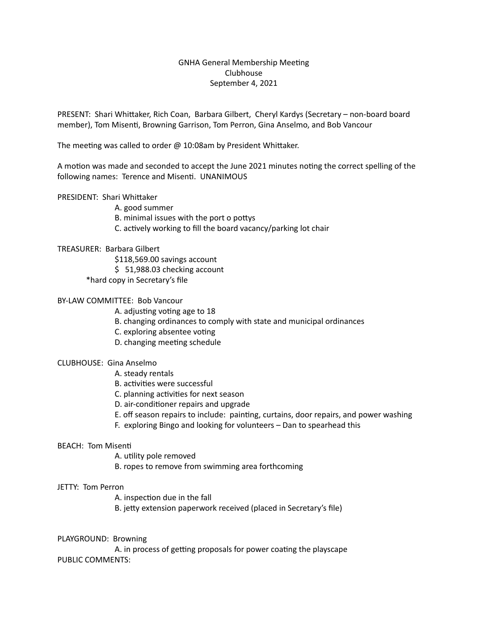# GNHA General Membership Meeting Clubhouse September 4, 2021

PRESENT: Shari Whittaker, Rich Coan, Barbara Gilbert, Cheryl Kardys (Secretary – non-board board member), Tom Misenti, Browning Garrison, Tom Perron, Gina Anselmo, and Bob Vancour

The meeting was called to order  $@$  10:08am by President Whittaker.

A motion was made and seconded to accept the June 2021 minutes noting the correct spelling of the following names: Terence and Misenti. UNANIMOUS

PRESIDENT: Shari Whittaker

A. good summer

B. minimal issues with the port o pottys

C. actively working to fill the board vacancy/parking lot chair

### TREASURER: Barbara Gilbert

\$118,569.00 savings account

 $$51,988.03$  checking account

\*hard copy in Secretary's file

### BY-LAW COMMITTEE: Bob Vancour

A. adjusting voting age to 18

- B. changing ordinances to comply with state and municipal ordinances
- C. exploring absentee voting
- D. changing meeting schedule

#### CLUBHOUSE: Gina Anselmo

- A. steady rentals
- B. activities were successful
- C. planning activities for next season
- D. air-conditioner repairs and upgrade
- E. off season repairs to include: painting, curtains, door repairs, and power washing
- F. exploring Bingo and looking for volunteers  $-$  Dan to spearhead this

#### **BEACH: Tom Misenti**

A. utility pole removed

B. ropes to remove from swimming area forthcoming

# JETTY: Tom Perron

A. inspection due in the fall

B. jetty extension paperwork received (placed in Secretary's file)

#### PLAYGROUND: Browning

A. in process of getting proposals for power coating the playscape PUBLIC COMMENTS: